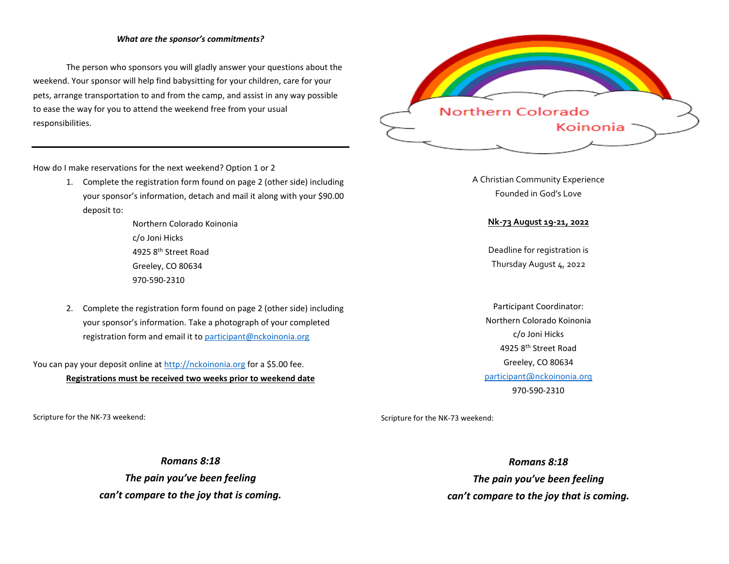#### *What are the sponsor's commitments?*

The person who sponsors you will gladly answer your questions about the weekend. Your sponsor will help find babysitting for your children, care for your pets, arrange transportation to and from the camp, and assist in any way possible to ease the way for you to attend the weekend free from your usual responsibilities.



How do I make reservations for the next weekend? Option 1 or 2

1. Complete the registration form found on page 2 (other side) including your sponsor's information, detach and mail it along with your \$90.00 deposit to:

> Northern Colorado Koinonia c/o Joni Hicks 4925 8th Street Road Greeley, CO 80634 970-590-2310

2. Complete the registration form found on page 2 (other side) including your sponsor's information. Take a photograph of your completed registration form and email it t[o participant@nckoinonia.org](mailto:participant@nckoinonia.org)

You can pay your deposit online at [http://nckoinonia.org](http://nckoinonia.org/) for a \$5.00 fee. **Registrations must be received two weeks prior to weekend date**

Scripture for the NK-73 weekend:

*Romans 8:18 The pain you've been feeling can't compare to the joy that is coming.* A Christian Community Experience Founded in God's Love

### **Nk-73 August 19-21, 2022**

Deadline for registration is Thursday August 4, 2022

Participant Coordinator: Northern Colorado Koinonia c/o Joni Hicks 4925 8th Street Road Greeley, CO 80634 participant@nckoinonia.org 970-590-2310

Scripture for the NK-73 weekend:

*Romans 8:18 The pain you've been feeling can't compare to the joy that is coming.*